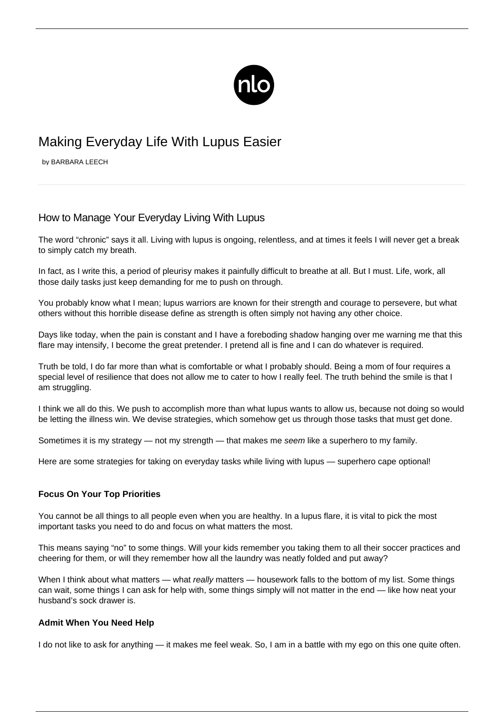

# Making Everyday Life With Lupus Easier

by BARBARA LEECH

## How to Manage Your Everyday Living With Lupus

The word "chronic" says it all. Living with lupus is ongoing, relentless, and at times it feels I will never get a break to simply catch my breath.

In fact, as I write this, a period of pleurisy makes it painfully difficult to breathe at all. But I must. Life, work, all those daily tasks just keep demanding for me to push on through.

You probably know what I mean; lupus warriors are known for their strength and courage to persevere, but what others without this horrible disease define as strength is often simply not having any other choice.

Days like today, when the pain is constant and I have a foreboding shadow hanging over me warning me that this flare may intensify, I become the great pretender. I pretend all is fine and I can do whatever is required.

Truth be told, I do far more than what is comfortable or what I probably should. Being a mom of four requires a special level of resilience that does not allow me to cater to how I really feel. The truth behind the smile is that I am struggling.

I think we all do this. We push to accomplish more than what lupus wants to allow us, because not doing so would be letting the illness win. We devise strategies, which somehow get us through those tasks that must get done.

Sometimes it is my strategy — not my strength — that makes me seem like a superhero to my family.

Here are some strategies for taking on everyday tasks while living with lupus — superhero cape optional!

#### **Focus On Your Top Priorities**

You cannot be all things to all people even when you are healthy. In a lupus flare, it is vital to pick the most important tasks you need to do and focus on what matters the most.

This means [saying "no"](/lupus-saying-no/) to some things. Will your kids remember you taking them to all their soccer practices and cheering for them, or will they remember how all the laundry was neatly folded and put away?

When I think about what matters — what really matters — housework falls to the bottom of my list. Some things can wait, some things I can ask for help with, some things simply will not matter in the end — like how neat your husband's sock drawer is.

#### **Admit When You Need Help**

I do not like to ask for anything — it makes me feel weak. So, I am in a battle with my ego on this one quite often.